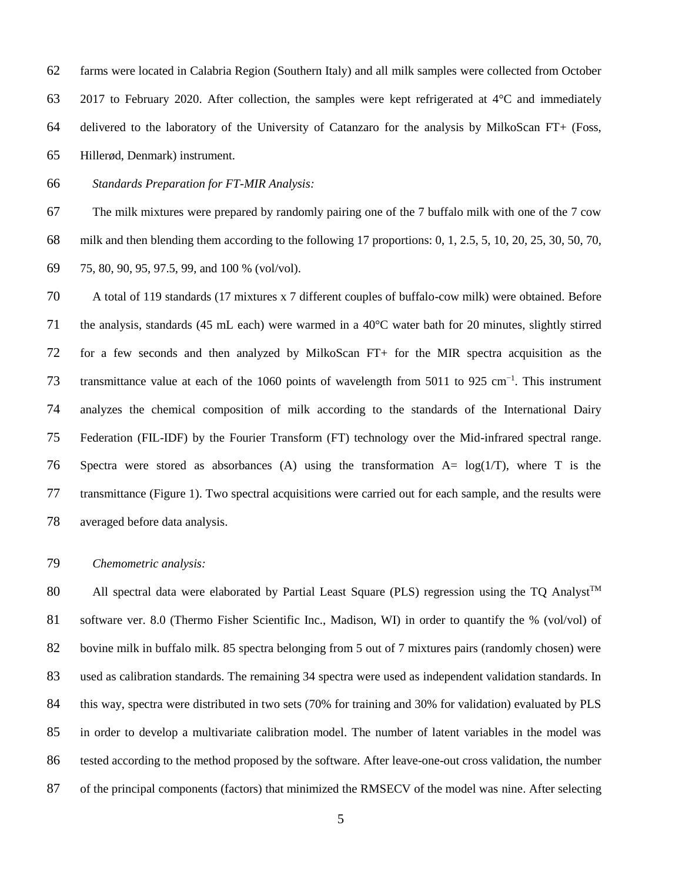farms were located in Calabria Region (Southern Italy) and all milk samples were collected from October 2017 to February 2020. After collection, the samples were kept refrigerated at 4°C and immediately delivered to the laboratory of the University of Catanzaro for the analysis by MilkoScan FT+ (Foss, Hillerød, Denmark) instrument.

*Standards Preparation for FT-MIR Analysis:*

 The milk mixtures were prepared by randomly pairing one of the 7 buffalo milk with one of the 7 cow milk and then blending them according to the following 17 proportions: 0, 1, 2.5, 5, 10, 20, 25, 30, 50, 70, 75, 80, 90, 95, 97.5, 99, and 100 % (vol/vol).

dards (17 mixtures x 7 different couples of buffalo-cow milk) were<br>state (45 mL each) were warmed in a 40°C water bath for 20 minut<br>and then analyzed by MilkoScan FT+ for the MIR spectra a<br>at each of the 1060 points of wa A total of 119 standards (17 mixtures x 7 different couples of buffalo-cow milk) were obtained. Before the analysis, standards (45 mL each) were warmed in a 40°C water bath for 20 minutes, slightly stirred for a few seconds and then analyzed by MilkoScan FT+ for the MIR spectra acquisition as the 73 transmittance value at each of the 1060 points of wavelength from 5011 to 925  $cm^{-1}$ . This instrument analyzes the chemical composition of milk according to the standards of the International Dairy Federation (FIL-IDF) by the Fourier Transform (FT) technology over the Mid-infrared spectral range. 76 Spectra were stored as absorbances (A) using the transformation  $A = log(1/T)$ , where T is the transmittance (Figure 1). Two spectral acquisitions were carried out for each sample, and the results were averaged before data analysis.

## *Chemometric analysis:*

80 All spectral data were elaborated by Partial Least Square (PLS) regression using the TO Analyst<sup>TM</sup> software ver. 8.0 (Thermo Fisher Scientific Inc., Madison, WI) in order to quantify the % (vol/vol) of bovine milk in buffalo milk. 85 spectra belonging from 5 out of 7 mixtures pairs (randomly chosen) were used as calibration standards. The remaining 34 spectra were used as independent validation standards. In 84 this way, spectra were distributed in two sets (70% for training and 30% for validation) evaluated by PLS in order to develop a multivariate calibration model. The number of latent variables in the model was tested according to the method proposed by the software. After leave-one-out cross validation, the number of the principal components (factors) that minimized the RMSECV of the model was nine. After selecting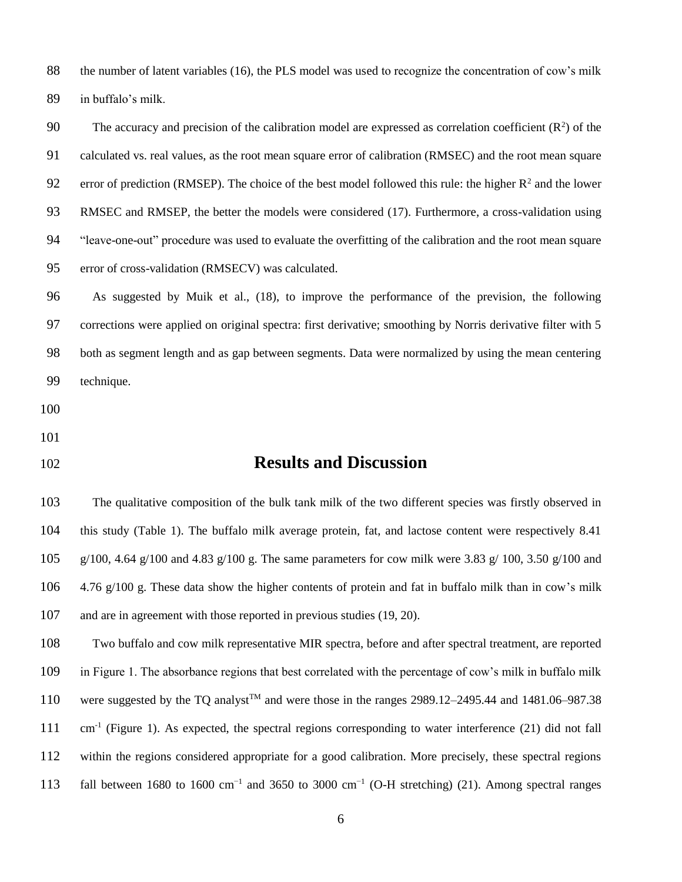the number of latent variables (16), the PLS model was used to recognize the concentration of cow's milk in buffalo's milk.

The accuracy and precision of the calibration model are expressed as correlation coefficient  $(R^2)$  of the calculated vs. real values, as the root mean square error of calibration (RMSEC) and the root mean square 92 error of prediction (RMSEP). The choice of the best model followed this rule: the higher  $R^2$  and the lower RMSEC and RMSEP, the better the models were considered (17). Furthermore, a cross-validation using "leave-one-out" procedure was used to evaluate the overfitting of the calibration and the root mean square error of cross-validation (RMSECV) was calculated.

Muik et al., (18), to improve the performance of the prevision<br>lied on original spectra: first derivative; smoothing by Norris deriv<br>th and as gap between segments. Data were normalized by using the<br>and as gap between segm As suggested by Muik et al., (18), to improve the performance of the prevision, the following corrections were applied on original spectra: first derivative; smoothing by Norris derivative filter with 5 both as segment length and as gap between segments. Data were normalized by using the mean centering technique.

- 
- 
- 

## **Results and Discussion**

 The qualitative composition of the bulk tank milk of the two different species was firstly observed in this study (Table 1). The buffalo milk average protein, fat, and lactose content were respectively 8.41 105 g/100, 4.64 g/100 and 4.83 g/100 g. The same parameters for cow milk were 3.83 g/ 100, 3.50 g/100 and 4.76 g/100 g. These data show the higher contents of protein and fat in buffalo milk than in cow's milk and are in agreement with those reported in previous studies (19, 20).

 Two buffalo and cow milk representative MIR spectra, before and after spectral treatment, are reported in Figure 1. The absorbance regions that best correlated with the percentage of cow's milk in buffalo milk 110 were suggested by the TQ analyst<sup>TM</sup> and were those in the ranges 2989.12–2495.44 and 1481.06–987.38 cm-1 (Figure 1). As expected, the spectral regions corresponding to water interference (21) did not fall within the regions considered appropriate for a good calibration. More precisely, these spectral regions 113 fall between 1680 to 1600 cm<sup>-1</sup> and 3650 to 3000 cm<sup>-1</sup> (O-H stretching) (21). Among spectral ranges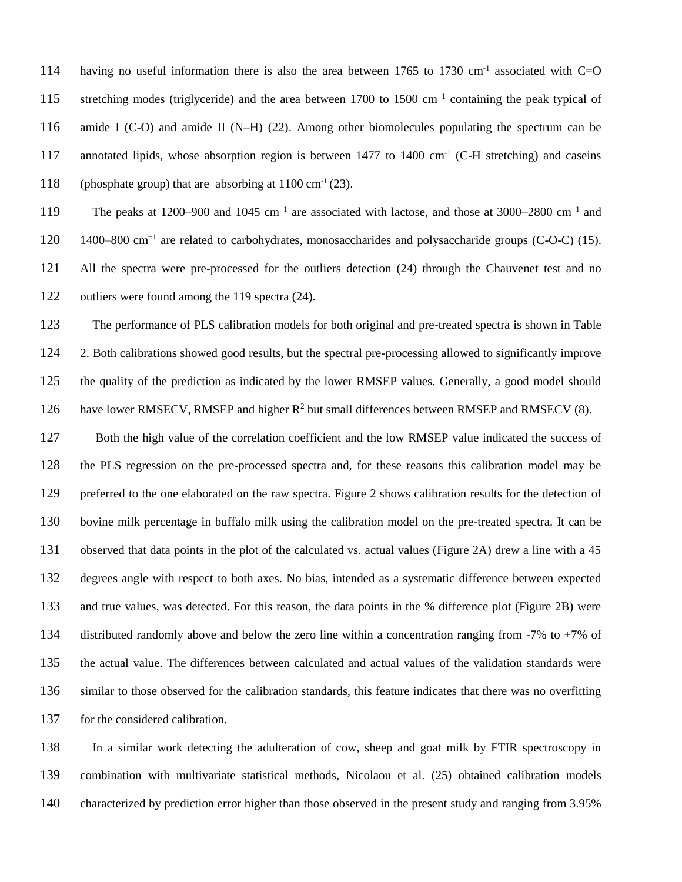having no useful information there is also the area between 1765 to 1730 cm<sup>-1</sup> associated with C=O 115 stretching modes (triglyceride) and the area between 1700 to 1500 cm<sup>-1</sup> containing the peak typical of amide I (C-O) and amide II (N–H) (22). Among other biomolecules populating the spectrum can be 117 annotated lipids, whose absorption region is between 1477 to 1400  $cm^{-1}$  (C-H stretching) and caseins 118 (phosphate group) that are absorbing at  $1100 \text{ cm}^{-1} (23)$ .

119 The peaks at 1200–900 and 1045 cm<sup>-1</sup> are associated with lactose, and those at 3000–2800 cm<sup>-1</sup> and 120 1400–800 cm<sup>-1</sup> are related to carbohydrates, monosaccharides and polysaccharide groups (C-O-C) (15). All the spectra were pre-processed for the outliers detection (24) through the Chauvenet test and no outliers were found among the 119 spectra (24).

 The performance of PLS calibration models for both original and pre-treated spectra is shown in Table 2. Both calibrations showed good results, but the spectral pre-processing allowed to significantly improve the quality of the prediction as indicated by the lower RMSEP values. Generally, a good model should 126 have lower RMSECV, RMSEP and higher  $R^2$  but small differences between RMSEP and RMSECV (8).

mong the 119 spectra (24).<br>
of PLS calibration models for both original and pre-treated spectra<br>
thowed good results, but the spectral pre-processing allowed to signediction as indicated by the lower RMSEP values. General Both the high value of the correlation coefficient and the low RMSEP value indicated the success of the PLS regression on the pre-processed spectra and, for these reasons this calibration model may be preferred to the one elaborated on the raw spectra. Figure 2 shows calibration results for the detection of bovine milk percentage in buffalo milk using the calibration model on the pre-treated spectra. It can be observed that data points in the plot of the calculated vs. actual values (Figure 2A) drew a line with a 45 degrees angle with respect to both axes. No bias, intended as a systematic difference between expected and true values, was detected. For this reason, the data points in the % difference plot (Figure 2B) were distributed randomly above and below the zero line within a concentration ranging from -7% to +7% of the actual value. The differences between calculated and actual values of the validation standards were similar to those observed for the calibration standards, this feature indicates that there was no overfitting for the considered calibration.

 In a similar work detecting the adulteration of cow, sheep and goat milk by FTIR spectroscopy in combination with multivariate statistical methods, Nicolaou et al. (25) obtained calibration models characterized by prediction error higher than those observed in the present study and ranging from 3.95%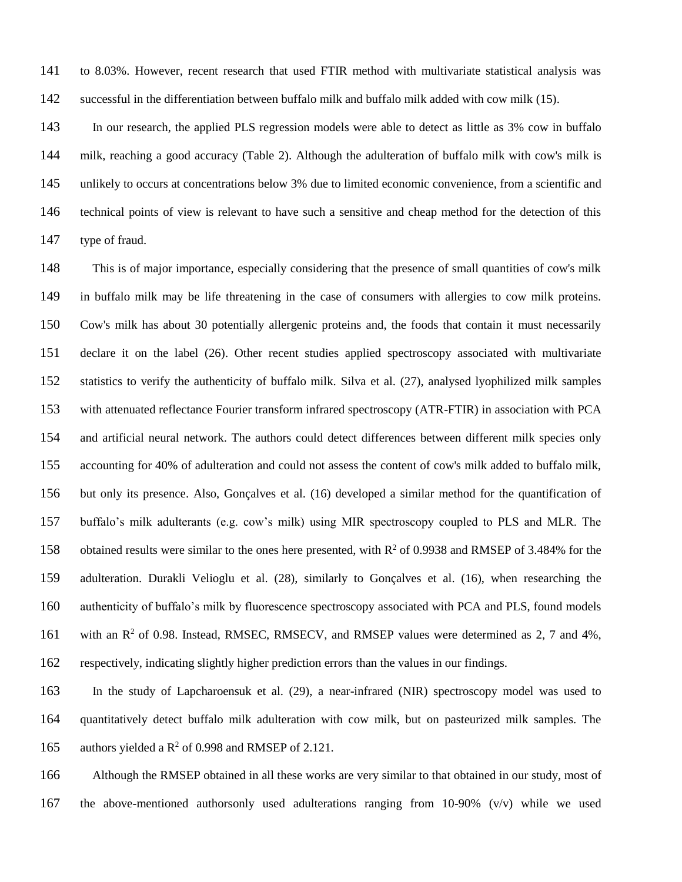to 8.03%. However, recent research that used FTIR method with multivariate statistical analysis was successful in the differentiation between buffalo milk and buffalo milk added with cow milk (15).

 In our research, the applied PLS regression models were able to detect as little as 3% cow in buffalo milk, reaching a good accuracy (Table 2). Although the adulteration of buffalo milk with cow's milk is unlikely to occurs at concentrations below 3% due to limited economic convenience, from a scientific and technical points of view is relevant to have such a sensitive and cheap method for the detection of this type of fraud.

be life threatening in the case of consumers with allergies to c<br>to all 30 potentially allergenic proteins and, the foods that contain it<br>bel (26). Other recent studies applied spectroscopy associated<br>e authenticity of buf This is of major importance, especially considering that the presence of small quantities of cow's milk in buffalo milk may be life threatening in the case of consumers with allergies to cow milk proteins. Cow's milk has about 30 potentially allergenic proteins and, the foods that contain it must necessarily declare it on the label (26). Other recent studies applied spectroscopy associated with multivariate statistics to verify the authenticity of buffalo milk. Silva et al. (27), analysed lyophilized milk samples with attenuated reflectance Fourier transform infrared spectroscopy (ATR-FTIR) in association with PCA and artificial neural network. The authors could detect differences between different milk species only accounting for 40% of adulteration and could not assess the content of cow's milk added to buffalo milk, but only its presence. Also, Gonçalves et al. (16) developed a similar method for the quantification of buffalo's milk adulterants (e.g. cow's milk) using MIR spectroscopy coupled to PLS and MLR. The 158 obtained results were similar to the ones here presented, with  $R^2$  of 0.9938 and RMSEP of 3.484% for the adulteration. Durakli Velioglu et al. (28), similarly to Gonçalves et al. (16), when researching the authenticity of buffalo's milk by fluorescence spectroscopy associated with PCA and PLS, found models 161 with an R<sup>2</sup> of 0.98. Instead, RMSEC, RMSECV, and RMSEP values were determined as 2, 7 and 4%, respectively, indicating slightly higher prediction errors than the values in our findings.

 In the study of Lapcharoensuk et al. (29), a near-infrared (NIR) spectroscopy model was used to quantitatively detect buffalo milk adulteration with cow milk, but on pasteurized milk samples. The 165 authors yielded a  $\mathbb{R}^2$  of 0.998 and RMSEP of 2.121.

 Although the RMSEP obtained in all these works are very similar to that obtained in our study, most of the above-mentioned authorsonly used adulterations ranging from 10-90% (v/v) while we used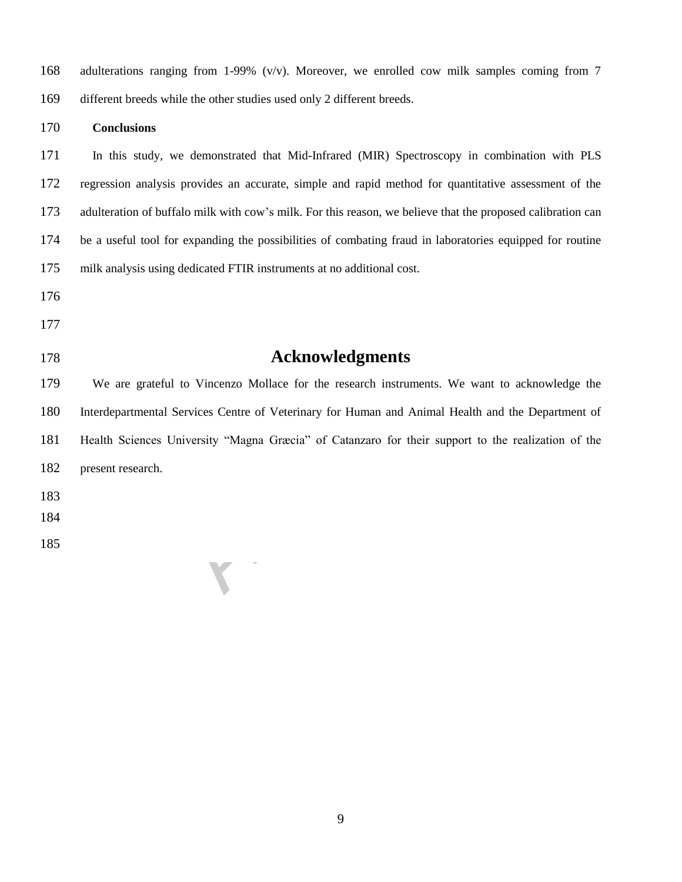| 168 | adulterations ranging from 1-99% $(v/v)$ . Moreover, we enrolled cow milk samples coming from 7             |
|-----|-------------------------------------------------------------------------------------------------------------|
| 169 | different breeds while the other studies used only 2 different breeds.                                      |
| 170 | <b>Conclusions</b>                                                                                          |
| 171 | In this study, we demonstrated that Mid-Infrared (MIR) Spectroscopy in combination with PLS                 |
| 172 | regression analysis provides an accurate, simple and rapid method for quantitative assessment of the        |
| 173 | adulteration of buffalo milk with cow's milk. For this reason, we believe that the proposed calibration can |
| 174 | be a useful tool for expanding the possibilities of combating fraud in laboratories equipped for routine    |
| 175 | milk analysis using dedicated FTIR instruments at no additional cost.                                       |
| 176 |                                                                                                             |

- 
- 
- 

## **Acknowledgments**

Acknowledgments<br>
o Vincenzo Mollace for the research instruments. We want to<br>
viversity "Magna Græcia" of Catanzaro for their support to the<br>
viversity "Magna Græcia" of Catanzaro for their support to the We are grateful to Vincenzo Mollace for the research instruments. We want to acknowledge the Interdepartmental Services Centre of Veterinary for Human and Animal Health and the Department of Health Sciences University "Magna Græcia" of Catanzaro for their support to the realization of the present research.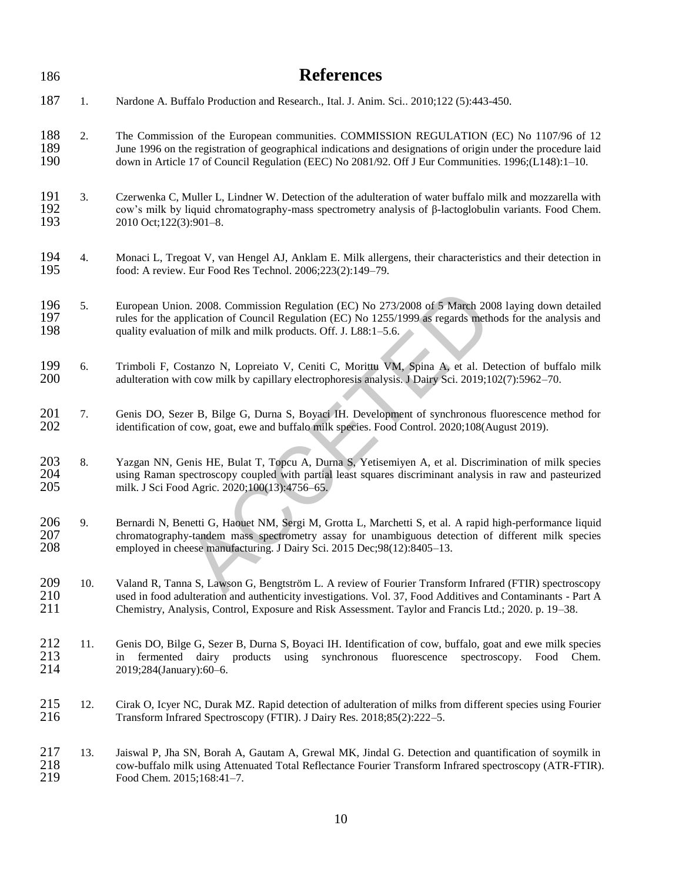| 186               |     | <b>References</b>                                                                                                                                                                                                                                                                                                             |
|-------------------|-----|-------------------------------------------------------------------------------------------------------------------------------------------------------------------------------------------------------------------------------------------------------------------------------------------------------------------------------|
| 187               | 1.  | Nardone A. Buffalo Production and Research., Ital. J. Anim. Sci 2010;122 (5):443-450.                                                                                                                                                                                                                                         |
| 188<br>189<br>190 | 2.  | The Commission of the European communities. COMMISSION REGULATION (EC) No 1107/96 of 12<br>June 1996 on the registration of geographical indications and designations of origin under the procedure laid<br>down in Article 17 of Council Regulation (EEC) No 2081/92. Off J Eur Communities. 1996;(L148):1-10.               |
| 191<br>192<br>193 | 3.  | Czerwenka C, Muller L, Lindner W. Detection of the adulteration of water buffalo milk and mozzarella with<br>cow's milk by liquid chromatography-mass spectrometry analysis of $\beta$ -lactoglobulin variants. Food Chem.<br>2010 Oct;122(3):901-8.                                                                          |
| 194<br>195        | 4.  | Monaci L, Tregoat V, van Hengel AJ, Anklam E. Milk allergens, their characteristics and their detection in<br>food: A review. Eur Food Res Technol. 2006;223(2):149-79.                                                                                                                                                       |
| 196<br>197<br>198 | 5.  | European Union. 2008. Commission Regulation (EC) No 273/2008 of 5 March 2008 laying down detailed<br>rules for the application of Council Regulation (EC) No 1255/1999 as regards methods for the analysis and<br>quality evaluation of milk and milk products. Off. J. L88:1-5.6.                                            |
| 199<br>200        | 6.  | Trimboli F, Costanzo N, Lopreiato V, Ceniti C, Morittu VM, Spina A, et al. Detection of buffalo milk<br>adulteration with cow milk by capillary electrophoresis analysis. J Dairy Sci. 2019;102(7):5962-70.                                                                                                                   |
| 201<br>202        | 7.  | Genis DO, Sezer B, Bilge G, Durna S, Boyaci IH. Development of synchronous fluorescence method for<br>identification of cow, goat, ewe and buffalo milk species. Food Control. 2020;108(August 2019).                                                                                                                         |
| 203<br>204<br>205 | 8.  | Yazgan NN, Genis HE, Bulat T, Topcu A, Durna S, Yetisemiyen A, et al. Discrimination of milk species<br>using Raman spectroscopy coupled with partial least squares discriminant analysis in raw and pasteurized<br>milk. J Sci Food Agric. 2020;100(13):4756-65.                                                             |
| 206<br>207<br>208 | 9.  | Bernardi N, Benetti G, Haouet NM, Sergi M, Grotta L, Marchetti S, et al. A rapid high-performance liquid<br>chromatography-tandem mass spectrometry assay for unambiguous detection of different milk species<br>employed in cheese manufacturing. J Dairy Sci. 2015 Dec;98(12):8405-13.                                      |
| 209<br>210<br>211 | 10. | Valand R, Tanna S, Lawson G, Bengtström L. A review of Fourier Transform Infrared (FTIR) spectroscopy<br>used in food adulteration and authenticity investigations. Vol. 37, Food Additives and Contaminants - Part A<br>Chemistry, Analysis, Control, Exposure and Risk Assessment. Taylor and Francis Ltd.; 2020. p. 19–38. |
| 212<br>213<br>214 | 11. | Genis DO, Bilge G, Sezer B, Durna S, Boyaci IH. Identification of cow, buffalo, goat and ewe milk species<br>dairy products<br>synchronous<br>fluorescence<br>spectroscopy.<br>fermented<br>using<br>Food<br>Chem.<br>1n<br>2019;284(January):60-6.                                                                           |
| 215<br>216        | 12. | Cirak O, Icyer NC, Durak MZ. Rapid detection of adulteration of milks from different species using Fourier<br>Transform Infrared Spectroscopy (FTIR). J Dairy Res. 2018;85(2):222-5.                                                                                                                                          |
| 217<br>218<br>219 | 13. | Jaiswal P, Jha SN, Borah A, Gautam A, Grewal MK, Jindal G. Detection and quantification of soymilk in<br>cow-buffalo milk using Attenuated Total Reflectance Fourier Transform Infrared spectroscopy (ATR-FTIR).<br>Food Chem. 2015;168:41-7.                                                                                 |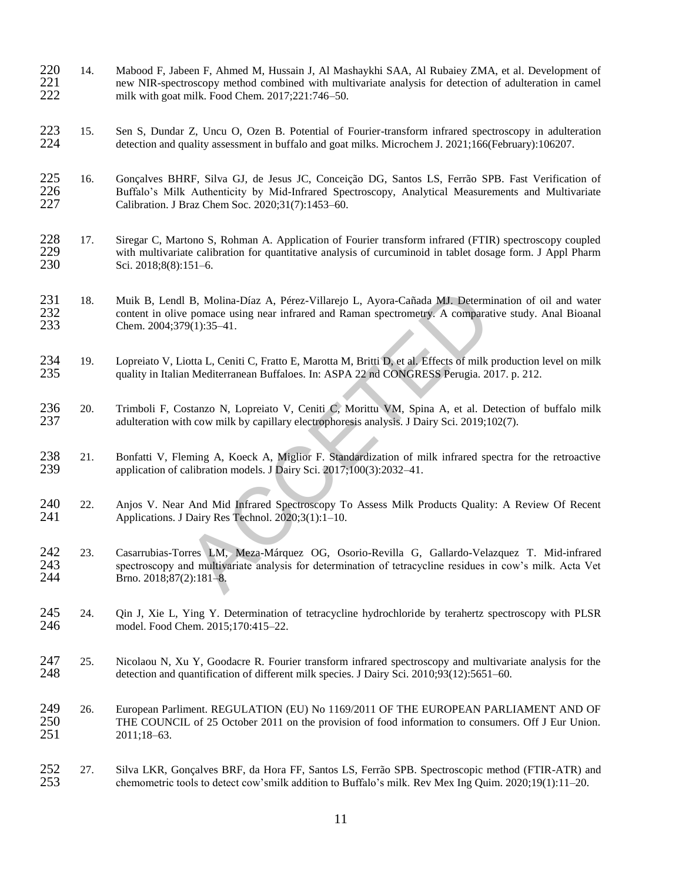- 220 14. Mabood F, Jabeen F, Ahmed M, Hussain J, Al Mashaykhi SAA, Al Rubaiey ZMA, et al. Development of new NIR-spectroscopy method combined with multivariate analysis for detection of adulteration in camel 221 new NIR-spectroscopy method combined with multivariate analysis for detection of adulteration in camel<br>222 milk with goat milk. Food Chem. 2017;221:746–50. milk with goat milk. Food Chem. 2017;221:746–50.
- 223 15. Sen S, Dundar Z, Uncu O, Ozen B. Potential of Fourier-transform infrared spectroscopy in adulteration detection and quality assessment in buffalo and goat milks. Microchem J. 2021:166(February):106207. 224 detection and quality assessment in buffalo and goat milks. Microchem J. 2021;166(February):106207.
- 225 16. Gonçalves BHRF, Silva GJ, de Jesus JC, Conceição DG, Santos LS, Ferrão SPB. Fast Verification of 226 Buffalo's Milk Authenticity by Mid-Infrared Spectroscopy. Analytical Measurements and Multivariate 226 Buffalo's Milk Authenticity by Mid-Infrared Spectroscopy, Analytical Measurements and Multivariate 227 Calibration. J Braz Chem Soc. 2020;31(7):1453–60. Calibration. J Braz Chem Soc. 2020;31(7):1453-60.
- 228 17. Siregar C, Martono S, Rohman A. Application of Fourier transform infrared (FTIR) spectroscopy coupled with multivariate calibration for quantitative analysis of curcuminoid in tablet dosage form. J Appl Pharm 229 with multivariate calibration for quantitative analysis of curcuminoid in tablet dosage form. J Appl Pharm 230 Sci. 2018;8(8):151–6. Sci. 2018;8(8):151–6.
- 231 18. Muik B, Lendl B, Molina-Díaz A, Pérez-Villarejo L, Ayora-Cañada MJ. Determination of oil and water<br>232 content in olive pomace using near infrared and Raman spectrometry. A comparative study. Anal Bioanal 232 content in olive pomace using near infrared and Raman spectrometry. A comparative study. Anal Bioanal 233 Chem. 2004;379(1):35–41. 233 Chem. 2004;379(1):35–41.
- 234 19. Lopreiato V, Liotta L, Ceniti C, Fratto E, Marotta M, Britti D, et al. Effects of milk production level on milk quality in Italian Mediterranean Buffaloes. In: ASPA 22 nd CONGRESS Perugia. 2017. p. 212. quality in Italian Mediterranean Buffaloes. In: ASPA 22 nd CONGRESS Perugia. 2017. p. 212.
- 236 20. Trimboli F, Costanzo N, Lopreiato V, Ceniti C, Morittu VM, Spina A, et al. Detection of buffalo milk adulteration with cow milk by capillary electrophoresis analysis. J Dairy Sci. 2019;102(7). adulteration with cow milk by capillary electrophoresis analysis. J Dairy Sci. 2019;102(7).
- 238 21. Bonfatti V, Fleming A, Koeck A, Miglior F. Standardization of milk infrared spectra for the retroactive application of calibration models. J Dairy Sci. 2017;100(3):2032–41. 239 application of calibration models. J Dairy Sci. 2017;100(3):2032–41.
- 240 22. Anjos V. Near And Mid Infrared Spectroscopy To Assess Milk Products Quality: A Review Of Recent 241 Applications. J Dairy Res Technol. 2020:3(1):1–10. Applications. J Dairy Res Technol. 2020;3(1):1–10.
- B, Molina-Díaz A, Pérez-Villarejo L, Ayora-Cañada MJ. Determinatie<br>
pomace using near infrared and Raman spectrometry. A comparative s<br>
9(1):35-41.<br>
lotta L, Ceniti C, Fratto E, Marotta M, Britti D, et al. Effects of milk 242 23. Casarrubias-Torres LM, Meza-Márquez OG, Osorio-Revilla G, Gallardo-Velazquez T. Mid-infrared 243 spectroscopy and multivariate analysis for determination of tetracycline residues in cow's milk. Acta Vet Brno. 2018;87(2):181-8.
- 245 24. Qin J, Xie L, Ying Y. Determination of tetracycline hydrochloride by terahertz spectroscopy with PLSR 246 model. Food Chem. 2015;170:415–22.
- 247 25. Nicolaou N, Xu Y, Goodacre R. Fourier transform infrared spectroscopy and multivariate analysis for the detection and quantification of different milk species. J Dairy Sci. 2010;93(12):5651–60. detection and quantification of different milk species. J Dairy Sci. 2010;93(12):5651–60.
- 249 26. European Parliment. REGULATION (EU) No 1169/2011 OF THE EUROPEAN PARLIAMENT AND OF 250 THE COUNCIL of 25 October 2011 on the provision of food information to consumers. Off J Eur Union.<br>2011:18–63. 2011;18–63.
- 252 27. Silva LKR, Gonçalves BRF, da Hora FF, Santos LS, Ferrão SPB. Spectroscopic method (FTIR-ATR) and 253 chemometric tools to detect cow'smilk addition to Buffalo's milk. Rev Mex Ing Quim. 2020;19(1):11–20.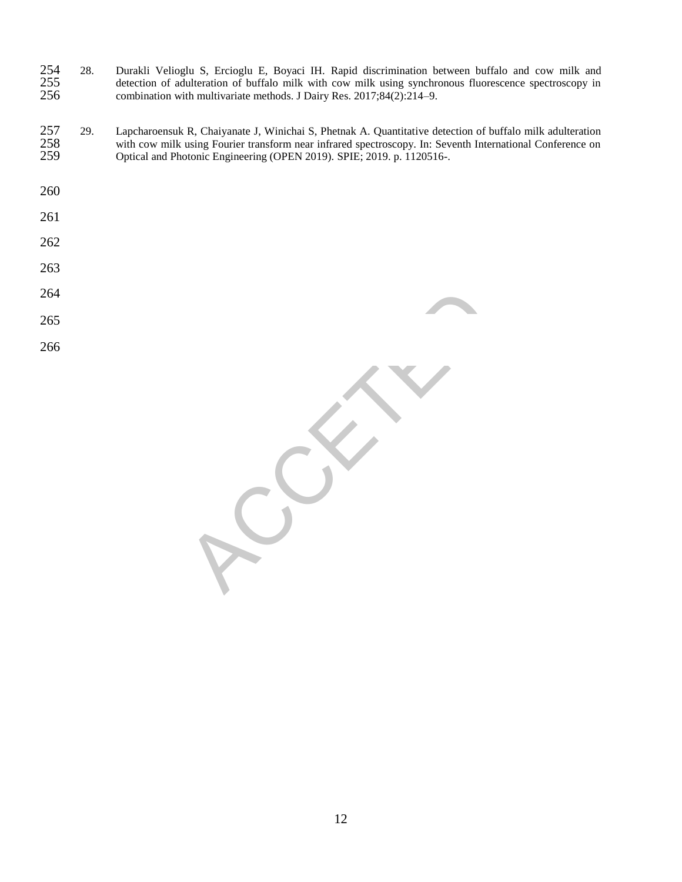- 28. Durakli Velioglu S, Ercioglu E, Boyaci IH. Rapid discrimination between buffalo and cow milk and 255 detection of adulteration of buffalo milk with cow milk using synchronous fluorescence spectroscopy in combination with multivariate methods. J Dairy Res. 2017;84(2):214–9. combination with multivariate methods. J Dairy Res. 2017;84(2):214–9.
- 257 29. Lapcharoensuk R, Chaiyanate J, Winichai S, Phetnak A. Quantitative detection of buffalo milk adulteration with cow milk using Fourier transform near infrared spectroscopy. In: Seventh International Conference on 258 with cow milk using Fourier transform near infrared spectroscopy. In: Seventh International Conference on Optical and Photonic Engineering (OPEN 2019). SPIE; 2019. p. 1120516-. Optical and Photonic Engineering (OPEN 2019). SPIE; 2019. p. 1120516-.
- 
- 
- 
- 
- 
- 
- 
- 

RECEPT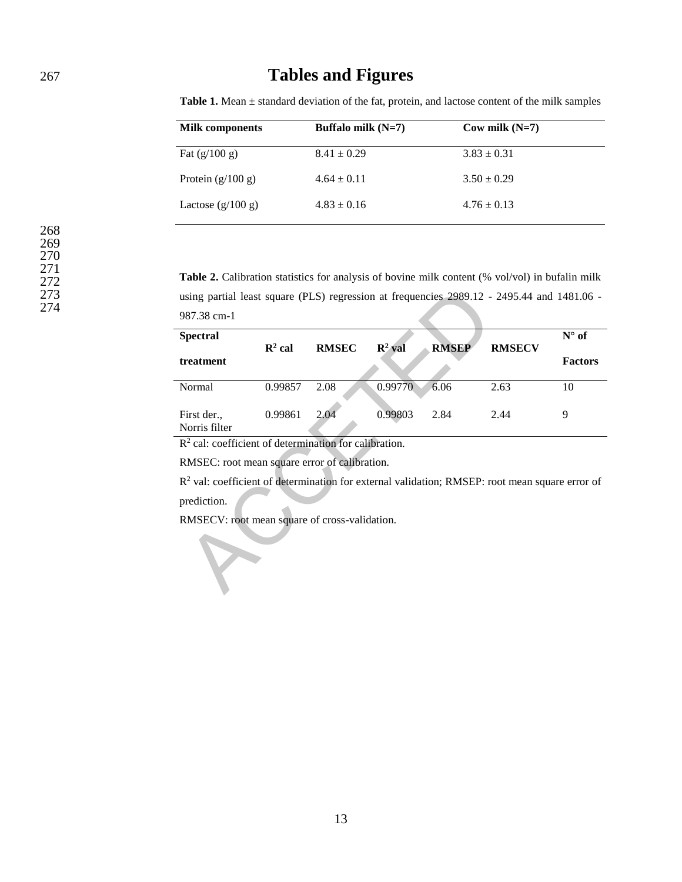## 267 **Tables and Figures**

| <b>Milk components</b> | Buffalo milk $(N=7)$ | $\text{Cow milk} (\text{N=7})$ |  |
|------------------------|----------------------|--------------------------------|--|
| Fat $(g/100 g)$        | $8.41 \pm 0.29$      | $3.83 \pm 0.31$                |  |
| Protein $(g/100 g)$    | $4.64 \pm 0.11$      | $3.50 \pm 0.29$                |  |
| Lactose $(g/100 g)$    | $4.83 \pm 0.16$      | $4.76 \pm 0.13$                |  |

**Table 1.** Mean ± standard deviation of the fat, protein, and lactose content of the milk samples

**Table 2.** Calibration statistics for analysis of bovine milk content (% vol/vol) in bufalin milk using partial least square (PLS) regression at frequencies 2989.12 - 2495.44 and 1481.06 - 987.38 cm-1

| using partial least square (PLS) regression at frequencies 2989.12 - 2495.44 and 1481.06 -       |                    |              |                    |              |               |                |  |  |  |
|--------------------------------------------------------------------------------------------------|--------------------|--------------|--------------------|--------------|---------------|----------------|--|--|--|
| 987.38 cm-1                                                                                      |                    |              |                    |              |               |                |  |  |  |
| <b>Spectral</b>                                                                                  | $\mathbb{R}^2$ cal | <b>RMSEC</b> | $\mathbb{R}^2$ val | <b>RMSEP</b> | <b>RMSECV</b> | $N^{\circ}$ of |  |  |  |
| treatment                                                                                        |                    |              |                    |              |               | <b>Factors</b> |  |  |  |
| Normal                                                                                           | 0.99857            | 2.08         | 0.99770            | 6.06         | 2.63          | 10             |  |  |  |
| First der.,<br>Norris filter                                                                     | 0.99861            | 2.04         | 0.99803            | 2.84         | 2.44          | 9              |  |  |  |
| $R2$ cal: coefficient of determination for calibration.                                          |                    |              |                    |              |               |                |  |  |  |
| RMSEC: root mean square error of calibration.                                                    |                    |              |                    |              |               |                |  |  |  |
| $R2$ val: coefficient of determination for external validation; RMSEP: root mean square error of |                    |              |                    |              |               |                |  |  |  |
| prediction.                                                                                      |                    |              |                    |              |               |                |  |  |  |
| RMSECV: root mean square of cross-validation.                                                    |                    |              |                    |              |               |                |  |  |  |
|                                                                                                  |                    |              |                    |              |               |                |  |  |  |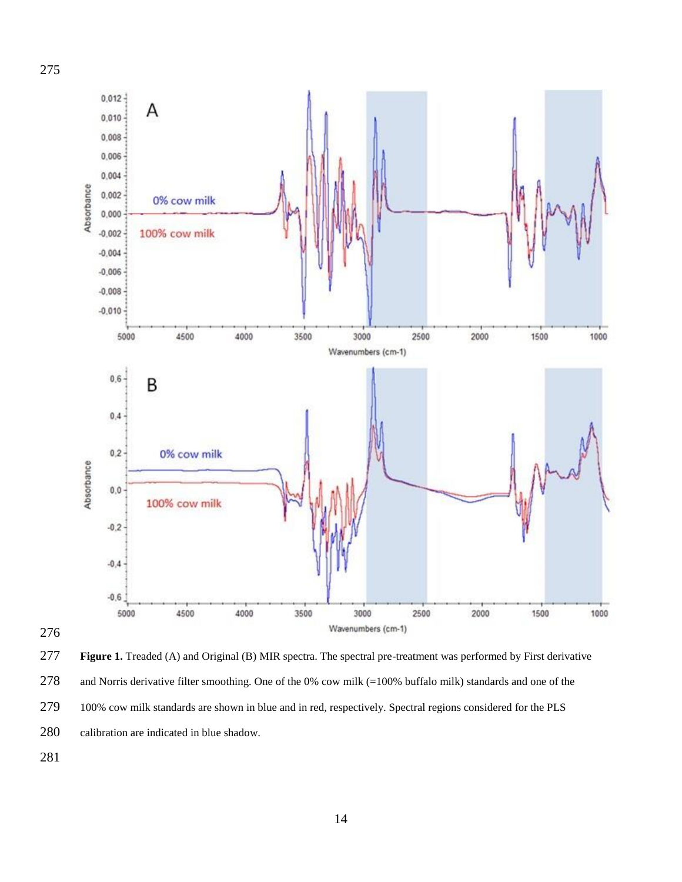

 **Figure 1.** Treaded (A) and Original (B) MIR spectra. The spectral pre-treatment was performed by First derivative and Norris derivative filter smoothing. One of the 0% cow milk (=100% buffalo milk) standards and one of the 279 100% cow milk standards are shown in blue and in red, respectively. Spectral regions considered for the PLS calibration are indicated in blue shadow.